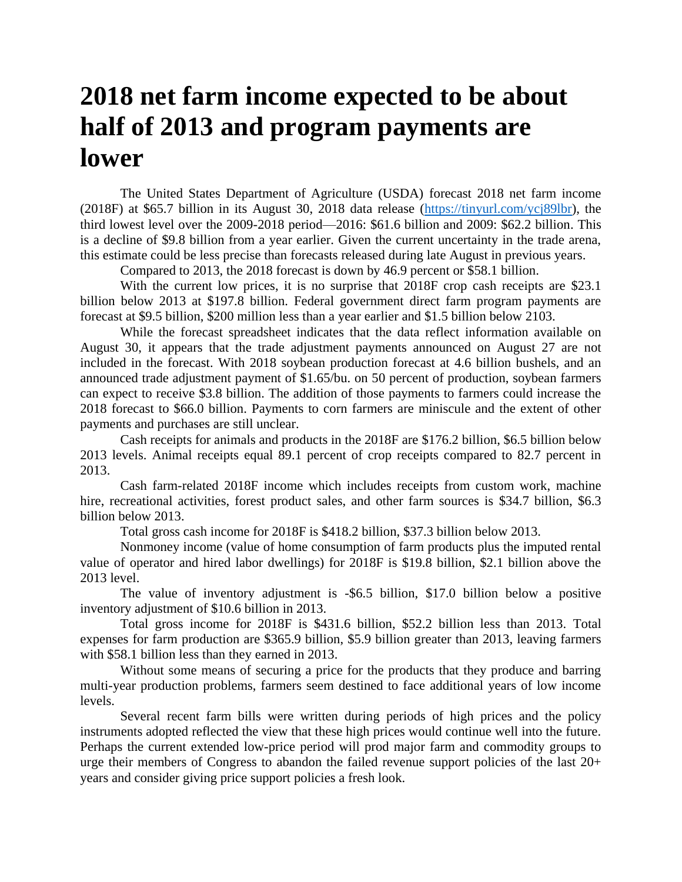## **2018 net farm income expected to be about half of 2013 and program payments are lower**

The United States Department of Agriculture (USDA) forecast 2018 net farm income (2018F) at \$65.7 billion in its August 30, 2018 data release [\(https://tinyurl.com/ycj89lbr\)](https://tinyurl.com/ycj89lbr), the third lowest level over the 2009-2018 period—2016: \$61.6 billion and 2009: \$62.2 billion. This is a decline of \$9.8 billion from a year earlier. Given the current uncertainty in the trade arena, this estimate could be less precise than forecasts released during late August in previous years.

Compared to 2013, the 2018 forecast is down by 46.9 percent or \$58.1 billion.

With the current low prices, it is no surprise that 2018F crop cash receipts are \$23.1 billion below 2013 at \$197.8 billion. Federal government direct farm program payments are forecast at \$9.5 billion, \$200 million less than a year earlier and \$1.5 billion below 2103.

While the forecast spreadsheet indicates that the data reflect information available on August 30, it appears that the trade adjustment payments announced on August 27 are not included in the forecast. With 2018 soybean production forecast at 4.6 billion bushels, and an announced trade adjustment payment of \$1.65/bu. on 50 percent of production, soybean farmers can expect to receive \$3.8 billion. The addition of those payments to farmers could increase the 2018 forecast to \$66.0 billion. Payments to corn farmers are miniscule and the extent of other payments and purchases are still unclear.

Cash receipts for animals and products in the 2018F are \$176.2 billion, \$6.5 billion below 2013 levels. Animal receipts equal 89.1 percent of crop receipts compared to 82.7 percent in 2013.

Cash farm-related 2018F income which includes receipts from custom work, machine hire, recreational activities, forest product sales, and other farm sources is \$34.7 billion, \$6.3 billion below 2013.

Total gross cash income for 2018F is \$418.2 billion, \$37.3 billion below 2013.

Nonmoney income (value of home consumption of farm products plus the imputed rental value of operator and hired labor dwellings) for 2018F is \$19.8 billion, \$2.1 billion above the 2013 level.

The value of inventory adjustment is -\$6.5 billion, \$17.0 billion below a positive inventory adjustment of \$10.6 billion in 2013.

Total gross income for 2018F is \$431.6 billion, \$52.2 billion less than 2013. Total expenses for farm production are \$365.9 billion, \$5.9 billion greater than 2013, leaving farmers with \$58.1 billion less than they earned in 2013.

Without some means of securing a price for the products that they produce and barring multi-year production problems, farmers seem destined to face additional years of low income levels.

Several recent farm bills were written during periods of high prices and the policy instruments adopted reflected the view that these high prices would continue well into the future. Perhaps the current extended low-price period will prod major farm and commodity groups to urge their members of Congress to abandon the failed revenue support policies of the last 20+ years and consider giving price support policies a fresh look.